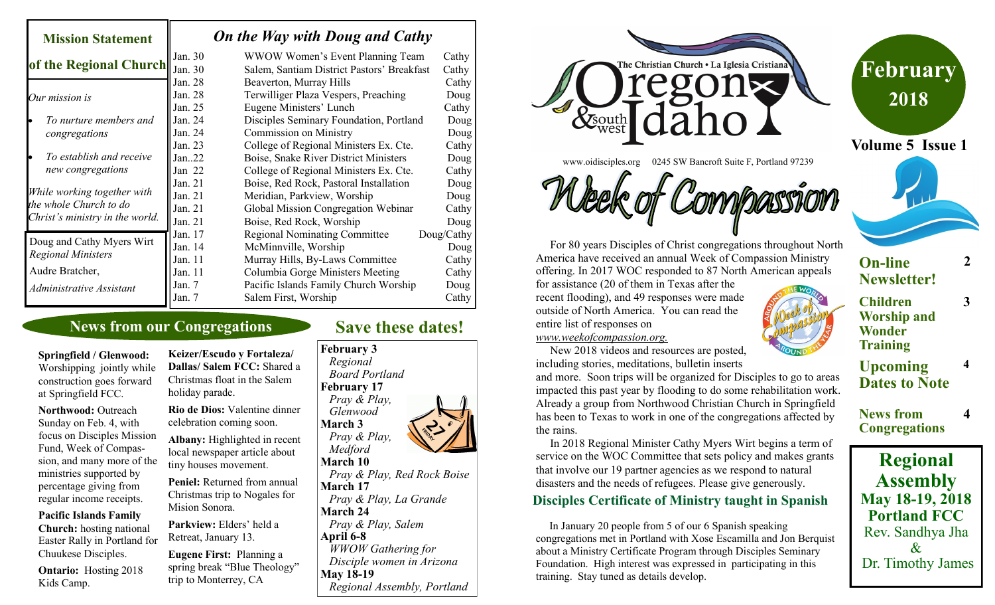| <b>Mission Statement</b>                                                                              |                                                              | On the Way with Doug and Cathy                                                                                                                                                                       |                                                       |
|-------------------------------------------------------------------------------------------------------|--------------------------------------------------------------|------------------------------------------------------------------------------------------------------------------------------------------------------------------------------------------------------|-------------------------------------------------------|
| of the Regional Church                                                                                | Jan. 30<br>Jan. 30                                           | WWOW Women's Event Planning Team<br>Salem, Santiam District Pastors' Breakfast                                                                                                                       | Cathy<br>Cathy                                        |
| Our mission is                                                                                        | Jan. 28<br>Jan. 28<br>Jan. 25                                | Beaverton, Murray Hills<br>Terwilliger Plaza Vespers, Preaching<br>Eugene Ministers' Lunch                                                                                                           | Cathy<br>Doug<br>Cathy                                |
| To nurture members and<br>congregations                                                               | Jan. 24<br>Jan. 24<br>Jan. 23                                | Disciples Seminary Foundation, Portland<br><b>Commission on Ministry</b><br>College of Regional Ministers Ex. Cte.                                                                                   | Doug<br>Doug<br>Cathy                                 |
| To establish and receive<br>lo<br>new congregations                                                   | Jan.22<br>Jan $22$                                           | Boise, Snake River District Ministers<br>College of Regional Ministers Ex. Cte.                                                                                                                      | Doug<br>Cathy                                         |
| While working together with<br>the whole Church to do<br>Christ's ministry in the world.              | Jan. $21$<br>Jan. $21$<br>Jan. $21$<br>Jan. $21$             | Boise, Red Rock, Pastoral Installation<br>Meridian, Parkview, Worship<br>Global Mission Congregation Webinar<br>Boise, Red Rock, Worship                                                             | Doug<br>Doug<br>Cathy<br>Doug                         |
| Doug and Cathy Myers Wirt<br><b>Regional Ministers</b><br>Audre Bratcher,<br>Administrative Assistant | Jan. 17<br>Jan. 14<br>Jan. 11<br>Jan. 11<br>Jan. 7<br>Jan. 7 | <b>Regional Nominating Committee</b><br>McMinnville, Worship<br>Murray Hills, By-Laws Committee<br>Columbia Gorge Ministers Meeting<br>Pacific Islands Family Church Worship<br>Salem First, Worship | Doug/Cathy<br>Doug<br>Cathy<br>Cathy<br>Doug<br>Cathy |

#### **News from our Congregations**

**Springfield / Glenwood:**  Worshipping jointly while construction goes forward at Springfield FCC.

**Northwood:** Outreach Sunday on Feb. 4, with focus on Disciples Mission Fund, Week of Compassion, and many more of the ministries supported by percentage giving from regular income receipts.

**Pacific Islands Family Church:** hosting national Easter Rally in Portland for Chuukese Disciples.

**Ontario:** Hosting 2018 Kids Camp.

**Keizer/Escudo y Fortaleza/ Dallas/ Salem FCC:** Shared a Christmas float in the Salem holiday parade.

**Rio de Dios:** Valentine dinner celebration coming soon.

**Albany:** Highlighted in recent local newspaper article about tiny houses movement.

**Peniel:** Returned from annual Christmas trip to Nogales for Mision Sonora.

Parkview: Elders' held a Retreat, January 13.

**Eugene First:** Planning a spring break "Blue Theology" trip to Monterrey, CA

## **Save these dates!**





www.oidisciples.org 0245 SW Bancroft Suite F, Portland 97239

 For 80 years Disciples of Christ congregations throughout North America have received an annual Week of Compassion Ministry offering. In 2017 WOC responded to 87 North American appeals

for assistance (20 of them in Texas after the recent flooding), and 49 responses were made outside of North America. You can read the entire list of responses on

*www.weekofcompassion.org.* 

 New 2018 videos and resources are posted, including stories, meditations, bulletin inserts

and more. Soon trips will be organized for Disciples to go to areas impacted this past year by flooding to do some rehabilitation work. Already a group from Northwood Christian Church in Springfield has been to Texas to work in one of the congregations affected by the rains.

 In 2018 Regional Minister Cathy Myers Wirt begins a term of service on the WOC Committee that sets policy and makes grants that involve our 19 partner agencies as we respond to natural disasters and the needs of refugees. Please give generously.

#### **Disciples Certificate of Ministry taught in Spanish**

 In January 20 people from 5 of our 6 Spanish speaking congregations met in Portland with Xose Escamilla and Jon Berquist about a Ministry Certificate Program through Disciples Seminary Foundation. High interest was expressed in participating in this training. Stay tuned as details develop.





**On-line**

**Worship and Training**

**Volume 5 Issue 1**

**February**

**2018**

**2**

**3**

**4**

**Upcoming Dates to Note**

**News from Congregations 4**

**Regional Assembly May 18-19, 2018 Portland FCC** Rev. Sandhya Jha & Dr. Timothy James